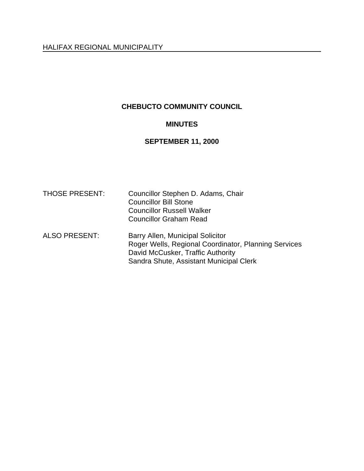# **CHEBUCTO COMMUNITY COUNCIL**

# **MINUTES**

## **SEPTEMBER 11, 2000**

| <b>THOSE PRESENT:</b> | Councillor Stephen D. Adams, Chair<br><b>Councillor Bill Stone</b><br><b>Councillor Russell Walker</b><br><b>Councillor Graham Read</b>                                  |
|-----------------------|--------------------------------------------------------------------------------------------------------------------------------------------------------------------------|
| <b>ALSO PRESENT:</b>  | Barry Allen, Municipal Solicitor<br>Roger Wells, Regional Coordinator, Planning Services<br>David McCusker, Traffic Authority<br>Sandra Shute, Assistant Municipal Clerk |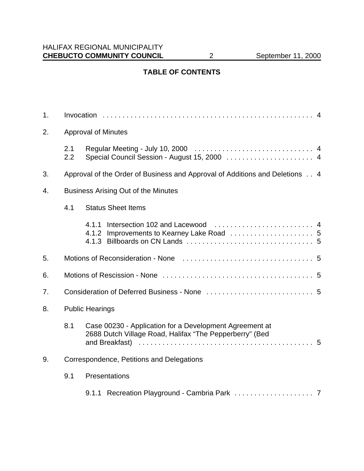# **TABLE OF CONTENTS**

| 1 <sub>1</sub> |                                            |                                                                                                                    |  |  |
|----------------|--------------------------------------------|--------------------------------------------------------------------------------------------------------------------|--|--|
| 2.             | <b>Approval of Minutes</b>                 |                                                                                                                    |  |  |
|                | 2.1<br>2.2                                 | Special Council Session - August 15, 2000  4                                                                       |  |  |
| 3.             |                                            | Approval of the Order of Business and Approval of Additions and Deletions 4                                        |  |  |
| 4.             | <b>Business Arising Out of the Minutes</b> |                                                                                                                    |  |  |
|                | 4.1                                        | <b>Status Sheet Items</b>                                                                                          |  |  |
|                |                                            |                                                                                                                    |  |  |
| 5.             |                                            |                                                                                                                    |  |  |
| 6.             |                                            |                                                                                                                    |  |  |
| 7.             |                                            |                                                                                                                    |  |  |
| 8.             | <b>Public Hearings</b>                     |                                                                                                                    |  |  |
|                | 8.1                                        | Case 00230 - Application for a Development Agreement at<br>2688 Dutch Village Road, Halifax "The Pepperberry" (Bed |  |  |
| 9.             | Correspondence, Petitions and Delegations  |                                                                                                                    |  |  |
|                | 9.1                                        | Presentations                                                                                                      |  |  |
|                |                                            |                                                                                                                    |  |  |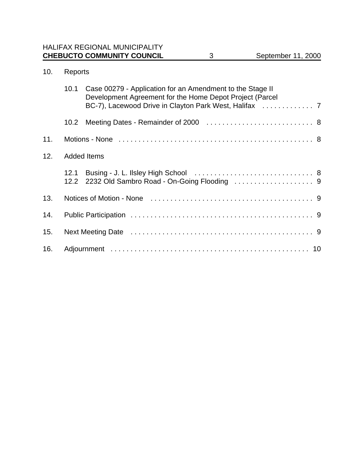# 10. Reports

|     | 10.1               | Case 00279 - Application for an Amendment to the Stage II<br>Development Agreement for the Home Depot Project (Parcel |  |
|-----|--------------------|-----------------------------------------------------------------------------------------------------------------------|--|
|     | 10.2 <sub>1</sub>  |                                                                                                                       |  |
| 11. |                    |                                                                                                                       |  |
| 12. | <b>Added Items</b> |                                                                                                                       |  |
|     | 12.1               |                                                                                                                       |  |
| 13. |                    |                                                                                                                       |  |
| 14. |                    |                                                                                                                       |  |
| 15. |                    |                                                                                                                       |  |
| 16. |                    |                                                                                                                       |  |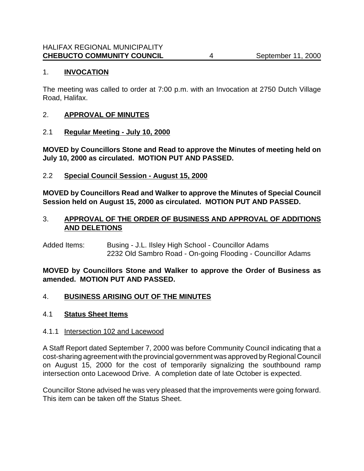# 1. **INVOCATION**

The meeting was called to order at 7:00 p.m. with an Invocation at 2750 Dutch Village Road, Halifax.

## 2. **APPROVAL OF MINUTES**

2.1 **Regular Meeting - July 10, 2000**

**MOVED by Councillors Stone and Read to approve the Minutes of meeting held on July 10, 2000 as circulated. MOTION PUT AND PASSED.**

2.2 **Special Council Session - August 15, 2000**

**MOVED by Councillors Read and Walker to approve the Minutes of Special Council Session held on August 15, 2000 as circulated. MOTION PUT AND PASSED.**

## 3. **APPROVAL OF THE ORDER OF BUSINESS AND APPROVAL OF ADDITIONS AND DELETIONS**

Added Items: Busing - J.L. Ilsley High School - Councillor Adams 2232 Old Sambro Road - On-going Flooding - Councillor Adams

**MOVED by Councillors Stone and Walker to approve the Order of Business as amended. MOTION PUT AND PASSED.**

## 4. **BUSINESS ARISING OUT OF THE MINUTES**

## 4.1 **Status Sheet Items**

## 4.1.1 Intersection 102 and Lacewood

A Staff Report dated September 7, 2000 was before Community Council indicating that a cost-sharing agreement with the provincial government was approved by Regional Council on August 15, 2000 for the cost of temporarily signalizing the southbound ramp intersection onto Lacewood Drive. A completion date of late October is expected.

Councillor Stone advised he was very pleased that the improvements were going forward. This item can be taken off the Status Sheet.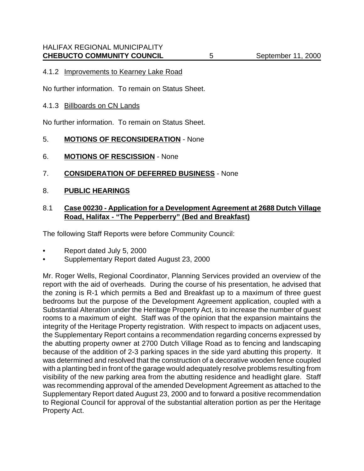#### 4.1.2 Improvements to Kearney Lake Road

No further information. To remain on Status Sheet.

#### 4.1.3 Billboards on CN Lands

No further information. To remain on Status Sheet.

#### 5. **MOTIONS OF RECONSIDERATION** - None

- 6. **MOTIONS OF RESCISSION** None
- 7. **CONSIDERATION OF DEFERRED BUSINESS** None
- 8. **PUBLIC HEARINGS**

## 8.1 **Case 00230 - Application for a Development Agreement at 2688 Dutch Village Road, Halifax - "The Pepperberry" (Bed and Breakfast)**

The following Staff Reports were before Community Council:

- Report dated July 5, 2000
- Supplementary Report dated August 23, 2000

Mr. Roger Wells, Regional Coordinator, Planning Services provided an overview of the report with the aid of overheads. During the course of his presentation, he advised that the zoning is R-1 which permits a Bed and Breakfast up to a maximum of three guest bedrooms but the purpose of the Development Agreement application, coupled with a Substantial Alteration under the Heritage Property Act, is to increase the number of guest rooms to a maximum of eight. Staff was of the opinion that the expansion maintains the integrity of the Heritage Property registration. With respect to impacts on adjacent uses, the Supplementary Report contains a recommendation regarding concerns expressed by the abutting property owner at 2700 Dutch Village Road as to fencing and landscaping because of the addition of 2-3 parking spaces in the side yard abutting this property. It was determined and resolved that the construction of a decorative wooden fence coupled with a planting bed in front of the garage would adequately resolve problems resulting from visibility of the new parking area from the abutting residence and headlight glare. Staff was recommending approval of the amended Development Agreement as attached to the Supplementary Report dated August 23, 2000 and to forward a positive recommendation to Regional Council for approval of the substantial alteration portion as per the Heritage Property Act.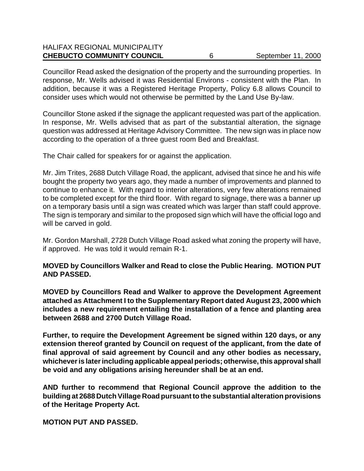# HALIFAX REGIONAL MUNICIPALITY **CHEBUCTO COMMUNITY COUNCIL** 6 September 11, 2000

Councillor Read asked the designation of the property and the surrounding properties. In response, Mr. Wells advised it was Residential Environs - consistent with the Plan. In addition, because it was a Registered Heritage Property, Policy 6.8 allows Council to consider uses which would not otherwise be permitted by the Land Use By-law.

Councillor Stone asked if the signage the applicant requested was part of the application. In response, Mr. Wells advised that as part of the substantial alteration, the signage question was addressed at Heritage Advisory Committee. The new sign was in place now according to the operation of a three guest room Bed and Breakfast.

The Chair called for speakers for or against the application.

Mr. Jim Trites, 2688 Dutch Village Road, the applicant, advised that since he and his wife bought the property two years ago, they made a number of improvements and planned to continue to enhance it. With regard to interior alterations, very few alterations remained to be completed except for the third floor. With regard to signage, there was a banner up on a temporary basis until a sign was created which was larger than staff could approve. The sign is temporary and similar to the proposed sign which will have the official logo and will be carved in gold.

Mr. Gordon Marshall, 2728 Dutch Village Road asked what zoning the property will have, if approved. He was told it would remain R-1.

# **MOVED by Councillors Walker and Read to close the Public Hearing. MOTION PUT AND PASSED.**

**MOVED by Councillors Read and Walker to approve the Development Agreement attached as Attachment I to the Supplementary Report dated August 23, 2000 which includes a new requirement entailing the installation of a fence and planting area between 2688 and 2700 Dutch Village Road.** 

**Further, to require the Development Agreement be signed within 120 days, or any extension thereof granted by Council on request of the applicant, from the date of final approval of said agreement by Council and any other bodies as necessary, whichever is later including applicable appeal periods; otherwise, this approval shall be void and any obligations arising hereunder shall be at an end.**

**AND further to recommend that Regional Council approve the addition to the building at 2688 Dutch Village Road pursuant to the substantial alteration provisions of the Heritage Property Act.**

**MOTION PUT AND PASSED.**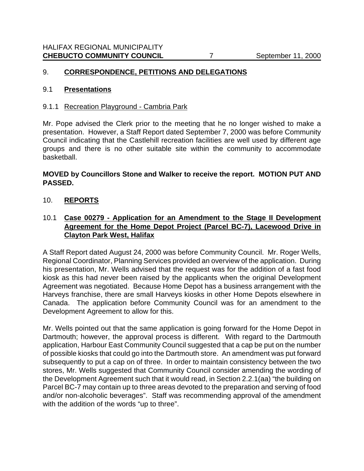# 9. **CORRESPONDENCE, PETITIONS AND DELEGATIONS**

#### 9.1 **Presentations**

#### 9.1.1 Recreation Playground - Cambria Park

Mr. Pope advised the Clerk prior to the meeting that he no longer wished to make a presentation. However, a Staff Report dated September 7, 2000 was before Community Council indicating that the Castlehill recreation facilities are well used by different age groups and there is no other suitable site within the community to accommodate basketball.

# **MOVED by Councillors Stone and Walker to receive the report. MOTION PUT AND PASSED.**

## 10. **REPORTS**

# 10.1 **Case 00279 - Application for an Amendment to the Stage II Development Agreement for the Home Depot Project (Parcel BC-7), Lacewood Drive in Clayton Park West, Halifax**

A Staff Report dated August 24, 2000 was before Community Council. Mr. Roger Wells, Regional Coordinator, Planning Services provided an overview of the application. During his presentation, Mr. Wells advised that the request was for the addition of a fast food kiosk as this had never been raised by the applicants when the original Development Agreement was negotiated. Because Home Depot has a business arrangement with the Harveys franchise, there are small Harveys kiosks in other Home Depots elsewhere in Canada. The application before Community Council was for an amendment to the Development Agreement to allow for this.

Mr. Wells pointed out that the same application is going forward for the Home Depot in Dartmouth; however, the approval process is different. With regard to the Dartmouth application, Harbour East Community Council suggested that a cap be put on the number of possible kiosks that could go into the Dartmouth store. An amendment was put forward subsequently to put a cap on of three. In order to maintain consistency between the two stores, Mr. Wells suggested that Community Council consider amending the wording of the Development Agreement such that it would read, in Section 2.2.1(aa) "the building on Parcel BC-7 may contain up to three areas devoted to the preparation and serving of food and/or non-alcoholic beverages". Staff was recommending approval of the amendment with the addition of the words "up to three".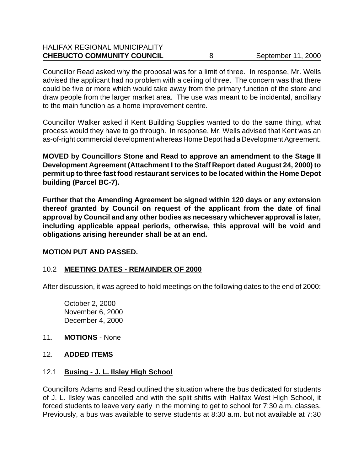# HALIFAX REGIONAL MUNICIPALITY **CHEBUCTO COMMUNITY COUNCIL** 8 September 11, 2000

Councillor Read asked why the proposal was for a limit of three. In response, Mr. Wells advised the applicant had no problem with a ceiling of three. The concern was that there could be five or more which would take away from the primary function of the store and draw people from the larger market area. The use was meant to be incidental, ancillary to the main function as a home improvement centre.

Councillor Walker asked if Kent Building Supplies wanted to do the same thing, what process would they have to go through. In response, Mr. Wells advised that Kent was an as-of-right commercial development whereas Home Depot had a Development Agreement.

**MOVED by Councillors Stone and Read to approve an amendment to the Stage II Development Agreement (Attachment I to the Staff Report dated August 24, 2000) to permit up to three fast food restaurant services to be located within the Home Depot building (Parcel BC-7).** 

**Further that the Amending Agreement be signed within 120 days or any extension thereof granted by Council on request of the applicant from the date of final approval by Council and any other bodies as necessary whichever approval is later, including applicable appeal periods, otherwise, this approval will be void and obligations arising hereunder shall be at an end.** 

## **MOTION PUT AND PASSED.**

# 10.2 **MEETING DATES - REMAINDER OF 2000**

After discussion, it was agreed to hold meetings on the following dates to the end of 2000:

October 2, 2000 November 6, 2000 December 4, 2000

## 11. **MOTIONS** - None

## 12. **ADDED ITEMS**

## 12.1 **Busing - J. L. Ilsley High School**

Councillors Adams and Read outlined the situation where the bus dedicated for students of J. L. Ilsley was cancelled and with the split shifts with Halifax West High School, it forced students to leave very early in the morning to get to school for 7:30 a.m. classes. Previously, a bus was available to serve students at 8:30 a.m. but not available at 7:30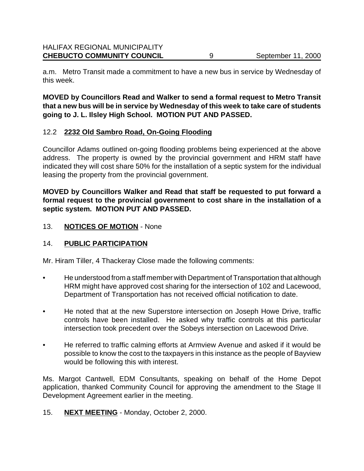a.m. Metro Transit made a commitment to have a new bus in service by Wednesday of this week.

**MOVED by Councillors Read and Walker to send a formal request to Metro Transit that a new bus will be in service by Wednesday of this week to take care of students going to J. L. Ilsley High School. MOTION PUT AND PASSED.**

# 12.2 **2232 Old Sambro Road, On-Going Flooding**

Councillor Adams outlined on-going flooding problems being experienced at the above address. The property is owned by the provincial government and HRM staff have indicated they will cost share 50% for the installation of a septic system for the individual leasing the property from the provincial government.

# **MOVED by Councillors Walker and Read that staff be requested to put forward a formal request to the provincial government to cost share in the installation of a septic system. MOTION PUT AND PASSED.**

## 13. **NOTICES OF MOTION** - None

# 14. **PUBLIC PARTICIPATION**

Mr. Hiram Tiller, 4 Thackeray Close made the following comments:

- He understood from a staff member with Department of Transportation that although HRM might have approved cost sharing for the intersection of 102 and Lacewood, Department of Transportation has not received official notification to date.
- He noted that at the new Superstore intersection on Joseph Howe Drive, traffic controls have been installed. He asked why traffic controls at this particular intersection took precedent over the Sobeys intersection on Lacewood Drive.
- He referred to traffic calming efforts at Armview Avenue and asked if it would be possible to know the cost to the taxpayers in this instance as the people of Bayview would be following this with interest.

Ms. Margot Cantwell, EDM Consultants, speaking on behalf of the Home Depot application, thanked Community Council for approving the amendment to the Stage II Development Agreement earlier in the meeting.

15. **NEXT MEETING** - Monday, October 2, 2000.